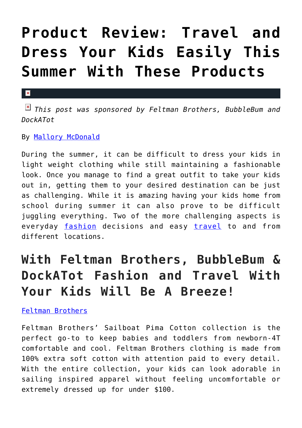# **[Product Review: Travel and](https://cupidspulse.com/120101/product-review-travel-dress-kids-summer-products/) [Dress Your Kids Easily This](https://cupidspulse.com/120101/product-review-travel-dress-kids-summer-products/) [Summer With These Products](https://cupidspulse.com/120101/product-review-travel-dress-kids-summer-products/)**

## $\mathbf{x}$

*This post was sponsored by Feltman Brothers, BubbleBum and DockATot*

By [Mallory McDonald](http://cupidspulse.com/114888/mallory-mcdonald/)

During the summer, it can be difficult to dress your kids in light weight clothing while still maintaining a fashionable look. Once you manage to find a great outfit to take your kids out in, getting them to your desired destination can be just as challenging. While it is amazing having your kids home from school during summer it can also prove to be difficult juggling everything. Two of the more challenging aspects is everyday [fashion](http://cupidspulse.com/fashion/) decisions and easy [travel](http://cupidspulse.com/travel) to and from different locations.

# **With Feltman Brothers, BubbleBum & DockATot Fashion and Travel With Your Kids Will Be A Breeze!**

[Feltman Brothers](http://www.feltmanbrothers.com)

Feltman Brothers' Sailboat Pima Cotton collection is the perfect go-to to keep babies and toddlers from newborn-4T comfortable and cool. Feltman Brothers clothing is made from 100% extra soft cotton with attention paid to every detail. With the entire collection, your kids can look adorable in sailing inspired apparel without feeling uncomfortable or extremely dressed up for under \$100.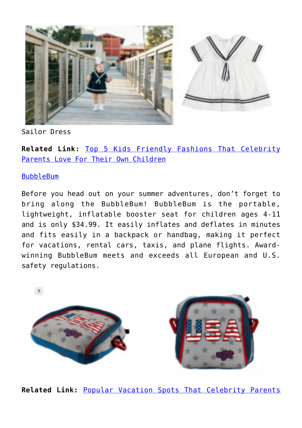

Sailor Dress

**Related Link:** [Top 5 Kids Friendly Fashions That Celebrity](http://cupidspulse.com/118881/top-kid-fashions-celebrity-parents-love-children/) [Parents Love For Their Own Children](http://cupidspulse.com/118881/top-kid-fashions-celebrity-parents-love-children/)

# [BubbleBum](http://www.bubblebum.co/us/)

Before you head out on your summer adventures, don't forget to bring along the BubbleBum! BubbleBum is the portable, lightweight, inflatable booster seat for children ages 4-11 and is only \$34.99. It easily inflates and deflates in minutes and fits easily in a backpack or handbag, making it perfect for vacations, rental cars, taxis, and plane flights. Awardwinning BubbleBum meets and exceeds all European and U.S. safety regulations.



**Related Link:** [Popular Vacation Spots That Celebrity Parents](http://cupidspulse.com/118879/vacation-spots-celebrity-parents-love/)